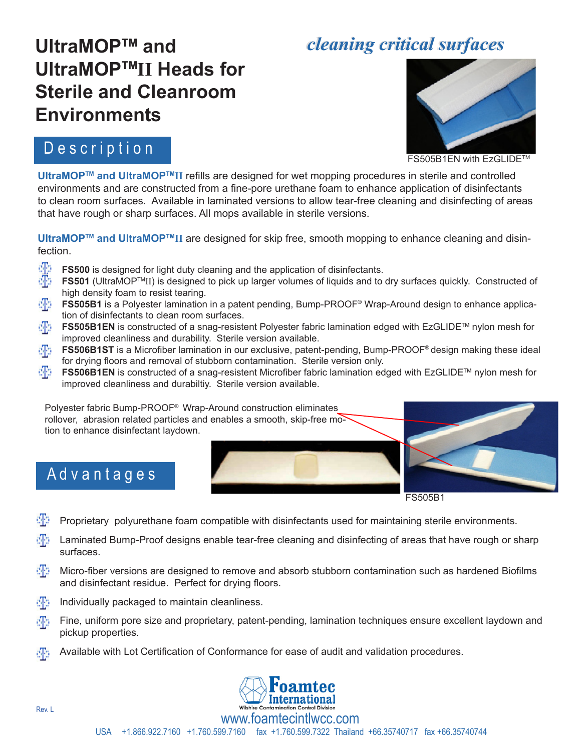## *cleaning critical surfaces cleaning critical surfaces*

# **UltraMOPTM and UltraMOPTMII Heads for Sterile and Cleanroom Environments**

#### D e s c r i p t i o n

A d v a n t a g e s



FS505B1EN with EzGLIDE™

**UltraMOPTM and UltraMOPTMII** refills are designed for wet mopping procedures in sterile and controlled environments and are constructed from a fine-pore urethane foam to enhance application of disinfectants to clean room surfaces. Available in laminated versions to allow tear-free cleaning and disinfecting of areas that have rough or sharp surfaces. All mops available in sterile versions.

**UltraMOPTM and UltraMOPTMII** are designed for skip free, smooth mopping to enhance cleaning and disinfection.

- **FS500** is designed for light duty cleaning and the application of disinfectants.
- **FS501** (UltraMOP<sup>™</sup>II) is designed to pick up larger volumes of liquids and to dry surfaces quickly. Constructed of high density foam to resist tearing.
- **FS505B1** is a Polyester lamination in a patent pending, Bump-PROOF® Wrap-Around design to enhance application of disinfectants to clean room surfaces.
- **FS505B1EN** is constructed of a snag-resistent Polyester fabric lamination edged with EzGLIDE™ nylon mesh for dka improved cleanliness and durability. Sterile version available.
- **FS506B1ST** is a Microfiber lamination in our exclusive, patent-pending, Bump-PROOF® design making these ideal for drying floors and removal of stubborn contamination. Sterile version only.
- **FS506B1EN** is constructed of a snag-resistent Microfiber fabric lamination edged with EzGLIDE™ nylon mesh for improved cleanliness and durabiltiy. Sterile version available.

Polyester fabric Bump-PROOF® Wrap-Around construction eliminates rollover, abrasion related particles and enables a smooth, skip-free motion to enhance disinfectant laydown.







- Proprietary polyurethane foam compatible with disinfectants used for maintaining sterile environments.
- dPs -Laminated Bump-Proof designs enable tear-free cleaning and disinfecting of areas that have rough or sharp surfaces.
- dPs -Micro-fiber versions are designed to remove and absorb stubborn contamination such as hardened Biofilms and disinfectant residue. Perfect for drying floors.
- $\mathbb{F}_2$  Individually packaged to maintain cleanliness.
- Fine, uniform pore size and proprietary, patent-pending, lamination techniques ensure excellent laydown and pickup properties.
- Available with Lot Certification of Conformance for ease of audit and validation procedures.dB.